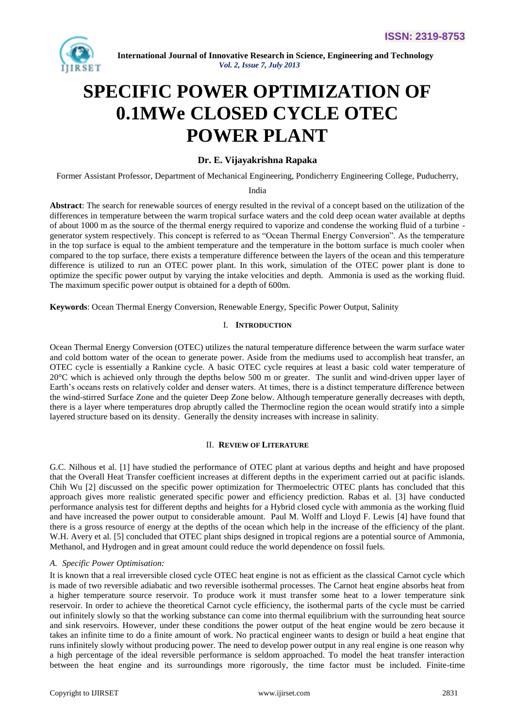

# **SPECIFIC POWER OPTIMIZATION OF 0.1MWe CLOSED CYCLE OTEC POWER PLANT**

# **Dr. E. Vijayakrishna Rapaka**

Former Assistant Professor, Department of Mechanical Engineering, Pondicherry Engineering College, Puducherry,

India

**Abstract**: The search for renewable sources of energy resulted in the revival of a concept based on the utilization of the differences in temperature between the warm tropical surface waters and the cold deep ocean water available at depths of about 1000 m as the source of the thermal energy required to vaporize and condense the working fluid of a turbine generator system respectively. This concept is referred to as "Ocean Thermal Energy Conversion". As the temperature in the top surface is equal to the ambient temperature and the temperature in the bottom surface is much cooler when compared to the top surface, there exists a temperature difference between the layers of the ocean and this temperature difference is utilized to run an OTEC power plant. In this work, simulation of the OTEC power plant is done to optimize the specific power output by varying the intake velocities and depth. Ammonia is used as the working fluid. The maximum specific power output is obtained for a depth of 600m.

**Keywords**: Ocean Thermal Energy Conversion, Renewable Energy, Specific Power Output, Salinity

# I. **INTRODUCTION**

Ocean Thermal Energy Conversion (OTEC) utilizes the natural temperature difference between the warm surface water and cold bottom water of the ocean to generate power. Aside from the mediums used to accomplish heat transfer, an OTEC cycle is essentially a Rankine cycle. A basic OTEC cycle requires at least a basic cold water temperature of 20°C which is achieved only through the depths below 500 m or greater. The sunlit and wind-driven upper layer of Earth's oceans rests on relatively colder and denser waters. At times, there is a distinct temperature difference between the wind-stirred Surface Zone and the quieter Deep Zone below. Although temperature generally decreases with depth, there is a layer where temperatures drop abruptly called the Thermocline region the ocean would stratify into a simple layered structure based on its density. Generally the density increases with increase in salinity.

#### II. **REVIEW OF LITERATURE**

G.C. Nilhous et al. [1] have studied the performance of OTEC plant at various depths and height and have proposed that the Overall Heat Transfer coefficient increases at different depths in the experiment carried out at pacific islands. Chih Wu [2] discussed on the specific power optimization for Thermoelectric OTEC plants has concluded that this approach gives more realistic generated specific power and efficiency prediction. Rabas et al. [3] have conducted performance analysis test for different depths and heights for a Hybrid closed cycle with ammonia as the working fluid and have increased the power output to considerable amount. Paul M. Wolff and Lloyd F. Lewis [4] have found that there is a gross resource of energy at the depths of the ocean which help in the increase of the efficiency of the plant. W.H. Avery et al. [5] concluded that OTEC plant ships designed in tropical regions are a potential source of Ammonia, Methanol, and Hydrogen and in great amount could reduce the world dependence on fossil fuels.

# *A. Specific Power Optimisation:*

It is known that a real irreversible closed cycle OTEC heat engine is not as efficient as the classical Carnot cycle which is made of two reversible adiabatic and two reversible isothermal processes. The Carnot heat engine absorbs heat from a higher temperature source reservoir. To produce work it must transfer some heat to a lower temperature sink reservoir. In order to achieve the theoretical Carnot cycle efficiency, the isothermal parts of the cycle must be carried out infinitely slowly so that the working substance can come into thermal equilibrium with the surrounding heat source and sink reservoirs. However, under these conditions the power output of the heat engine would be zero because it takes an infinite time to do a finite amount of work. No practical engineer wants to design or build a heat engine that runs infinitely slowly without producing power. The need to develop power output in any real engine is one reason why a high percentage of the ideal reversible performance is seldom approached. To model the heat transfer interaction between the heat engine and its surroundings more rigorously, the time factor must be included. Finite-time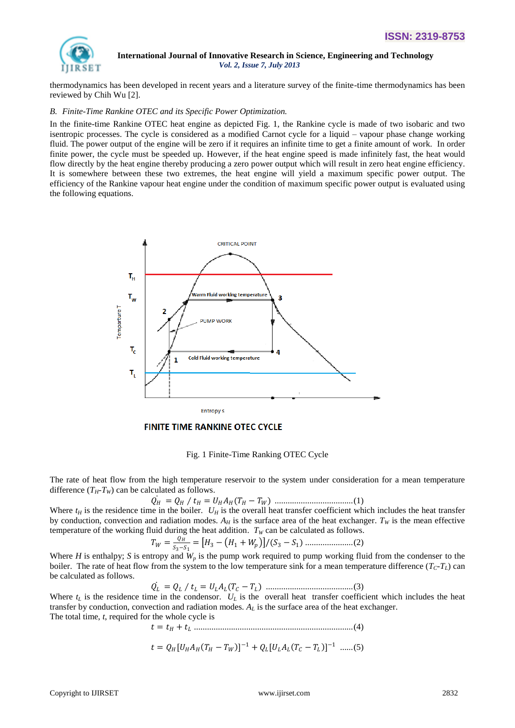

thermodynamics has been developed in recent years and a literature survey of the finite-time thermodynamics has been reviewed by Chih Wu [2].

#### *B. Finite-Time Rankine OTEC and its Specific Power Optimization.*

In the finite-time Rankine OTEC heat engine as depicted Fig. 1, the Rankine cycle is made of two isobaric and two isentropic processes. The cycle is considered as a modified Carnot cycle for a liquid – vapour phase change working fluid. The power output of the engine will be zero if it requires an infinite time to get a finite amount of work. In order finite power, the cycle must be speeded up. However, if the heat engine speed is made infinitely fast, the heat would flow directly by the heat engine thereby producing a zero power output which will result in zero heat engine efficiency. It is somewhere between these two extremes, the heat engine will yield a maximum specific power output. The efficiency of the Rankine vapour heat engine under the condition of maximum specific power output is evaluated using the following equations.



**FINITE TIME RANKINE OTEC CYCLE** 

Fig. 1 Finite-Time Ranking OTEC Cycle

The rate of heat flow from the high temperature reservoir to the system under consideration for a mean temperature difference  $(T_H - T_W)$  can be calculated as follows.

= ∕ = ( − ) ....................................(1)

Where  $t_H$  is the residence time in the boiler.  $U_H$  is the overall heat transfer coefficient which includes the heat transfer by conduction, convection and radiation modes.  $A_H$  is the surface area of the heat exchanger.  $T_W$  is the mean effective temperature of the working fluid during the heat addition.  $T_W$  can be calculated as follows.

 = 3−1 = <sup>3</sup> − <sup>1</sup> + /(<sup>3</sup> − 1) ......................(2)

Where *H* is enthalpy; *S* is entropy and  $W_p$  is the pump work required to pump working fluid from the condenser to the boiler. The rate of heat flow from the system to the low temperature sink for a mean temperature difference  $(T<sub>C</sub> - T<sub>L</sub>)$  can be calculated as follows.

$$
\dot{Q_L} = Q_L / t_L = U_L A_L (T_C - T_L) \dots (20)
$$

Where  $t_L$  is the residence time in the condensor.  $U_L$  is the overall heat transfer coefficient which includes the heat transfer by conduction, convection and radiation modes.  $A_L$  is the surface area of the heat exchanger. The total time, *t*, required for the whole cycle is

= + .........................................................................(4)

$$
t = Q_H [U_H A_H (T_H - T_W)]^{-1} + Q_L [U_L A_L (T_C - T_L)]^{-1} \ \dots \dots (5)
$$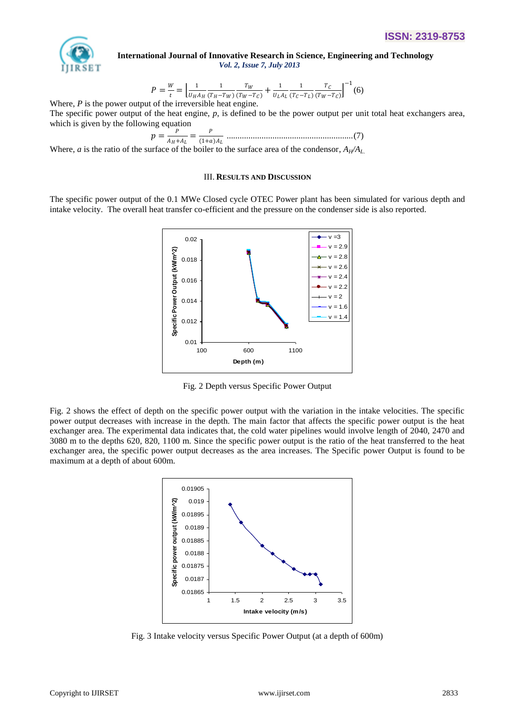

$$
P = \frac{W}{t} = \left[ \frac{1}{U_H A_H} \frac{1}{(T_H - T_W)} \frac{T_W}{(T_W - T_C)} + \frac{1}{U_L A_L} \frac{1}{(T_C - T_L)} \frac{T_C}{(T_W - T_C)} \right]^{-1}(6)
$$

Where, *P* is the power output of the irreversible heat engine. The specific power output of the heat engine, *p*, is defined to be the power output per unit total heat exchangers area, which is given by the following equation

$$
p = \frac{p}{A_H + A_L} = \frac{p}{(1+a)A_L}
$$
.................(7)

Where, *a* is the ratio of the surface of the boiler to the surface area of the condensor,  $A_H/A_L$ 

#### III. **RESULTS AND DISCUSSION**

The specific power output of the 0.1 MWe Closed cycle OTEC Power plant has been simulated for various depth and intake velocity. The overall heat transfer co-efficient and the pressure on the condenser side is also reported.



Fig. 2 Depth versus Specific Power Output

Fig. 2 shows the effect of depth on the specific power output with the variation in the intake velocities. The specific power output decreases with increase in the depth. The main factor that affects the specific power output is the heat exchanger area. The experimental data indicates that, the cold water pipelines would involve length of 2040, 2470 and 3080 m to the depths 620, 820, 1100 m. Since the specific power output is the ratio of the heat transferred to the heat exchanger area, the specific power output decreases as the area increases. The Specific power Output is found to be maximum at a depth of about 600m.



Fig. 3 Intake velocity versus Specific Power Output (at a depth of 600m)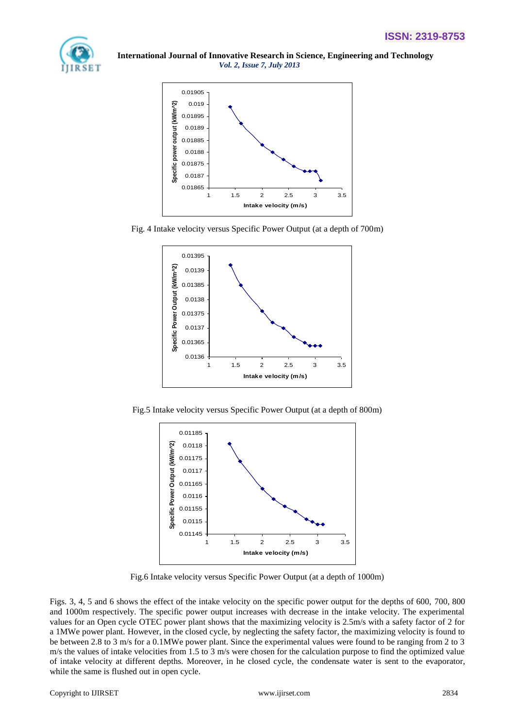



Fig. 4 Intake velocity versus Specific Power Output (at a depth of 700m)



Fig.5 Intake velocity versus Specific Power Output (at a depth of 800m)



Fig.6 Intake velocity versus Specific Power Output (at a depth of 1000m)

Figs. 3, 4, 5 and 6 shows the effect of the intake velocity on the specific power output for the depths of 600, 700, 800 and 1000m respectively. The specific power output increases with decrease in the intake velocity. The experimental values for an Open cycle OTEC power plant shows that the maximizing velocity is 2.5m/s with a safety factor of 2 for a 1MWe power plant. However, in the closed cycle, by neglecting the safety factor, the maximizing velocity is found to be between 2.8 to 3 m/s for a 0.1MWe power plant. Since the experimental values were found to be ranging from 2 to 3 m/s the values of intake velocities from 1.5 to 3 m/s were chosen for the calculation purpose to find the optimized value of intake velocity at different depths. Moreover, in he closed cycle, the condensate water is sent to the evaporator, while the same is flushed out in open cycle.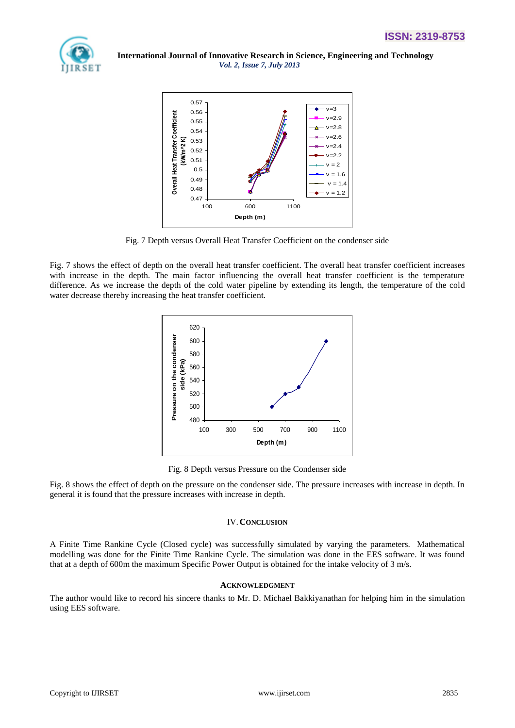



Fig. 7 Depth versus Overall Heat Transfer Coefficient on the condenser side

Fig. 7 shows the effect of depth on the overall heat transfer coefficient. The overall heat transfer coefficient increases with increase in the depth. The main factor influencing the overall heat transfer coefficient is the temperature difference. As we increase the depth of the cold water pipeline by extending its length, the temperature of the cold water decrease thereby increasing the heat transfer coefficient.



Fig. 8 Depth versus Pressure on the Condenser side

Fig. 8 shows the effect of depth on the pressure on the condenser side. The pressure increases with increase in depth. In general it is found that the pressure increases with increase in depth.

# IV.**CONCLUSION**

A Finite Time Rankine Cycle (Closed cycle) was successfully simulated by varying the parameters. Mathematical modelling was done for the Finite Time Rankine Cycle. The simulation was done in the EES software. It was found that at a depth of 600m the maximum Specific Power Output is obtained for the intake velocity of 3 m/s.

# **ACKNOWLEDGMENT**

The author would like to record his sincere thanks to Mr. D. Michael Bakkiyanathan for helping him in the simulation using EES software.